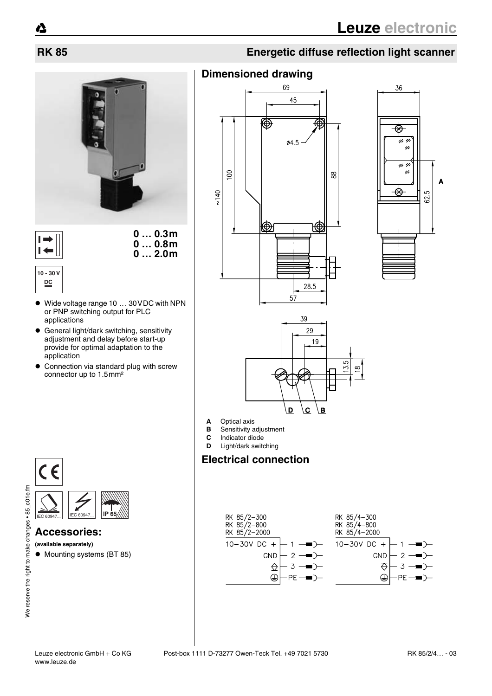Δ





**10 - 30 V DC**

 $\vdash$  $\overline{1}$ 

- ! Wide voltage range 10 … 30VDC with NPN or PNP switching output for PLC applications
- ! General light/dark switching, sensitivity adjustment and delay before start-up provide for optimal adaptation to the application
- Connection via standard plug with screw connector up to 1.5mm²



### **Accessories:**

**(available separately)**

 $\bullet$  Mounting systems (BT 85)

## **RK 85 Energetic diffuse reflection light scanner**

## **Dimensioned drawing**







- **A** Optical axis<br>**B** Sensitivity a
- **B** Sensitivity adjustment<br>**C** Indicator diode
- **C** Indicator diode
- **D** Light/dark switching **Electrical connection**

### RK 85/2-300<br>RK 85/2-800<br>RK 85/2-2000 RK 85/4-300 RK 85/4-800<br>RK 85/4-800<br>RK 85/4-2000 10-30V DC  $10 - 30V$  DC +  $+$  $\mathbf{1}$ 1 GND  $\overline{2}$ GND  $\rightarrow$  $\mathcal{P}$  $\triangle$  $\overline{3}$  $\overline{\Leftrightarrow}$  $\overline{3}$  $\rightarrow$  $\bigoplus$  $\bigoplus$ PF PF